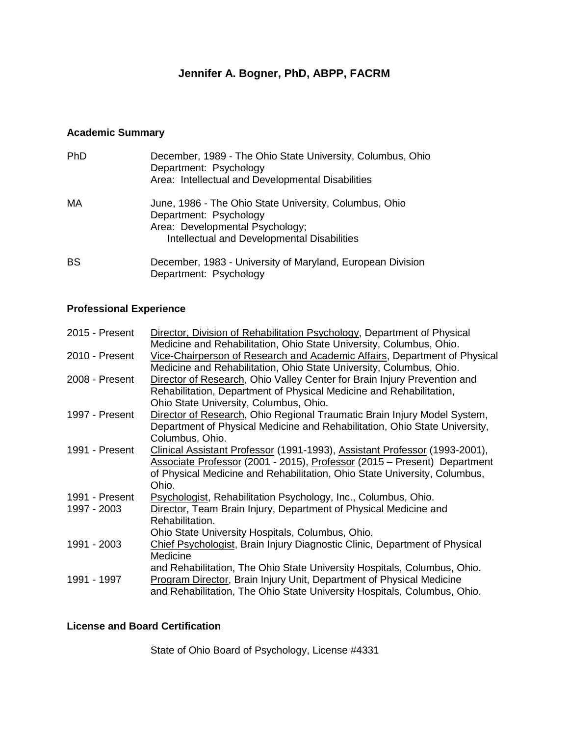# **Jennifer A. Bogner, PhD, ABPP, FACRM**

# **Academic Summary**

| <b>PhD</b> | December, 1989 - The Ohio State University, Columbus, Ohio<br>Department: Psychology<br>Area: Intellectual and Developmental Disabilities                          |
|------------|--------------------------------------------------------------------------------------------------------------------------------------------------------------------|
| МA         | June, 1986 - The Ohio State University, Columbus, Ohio<br>Department: Psychology<br>Area: Developmental Psychology;<br>Intellectual and Developmental Disabilities |
| <b>BS</b>  | December, 1983 - University of Maryland, European Division<br>Department: Psychology                                                                               |

# **Professional Experience**

| 2015 - Present | Director, Division of Rehabilitation Psychology, Department of Physical    |
|----------------|----------------------------------------------------------------------------|
|                | Medicine and Rehabilitation, Ohio State University, Columbus, Ohio.        |
| 2010 - Present | Vice-Chairperson of Research and Academic Affairs, Department of Physical  |
|                | Medicine and Rehabilitation, Ohio State University, Columbus, Ohio.        |
| 2008 - Present | Director of Research, Ohio Valley Center for Brain Injury Prevention and   |
|                | Rehabilitation, Department of Physical Medicine and Rehabilitation,        |
|                | Ohio State University, Columbus, Ohio.                                     |
| 1997 - Present | Director of Research, Ohio Regional Traumatic Brain Injury Model System,   |
|                | Department of Physical Medicine and Rehabilitation, Ohio State University, |
|                | Columbus, Ohio.                                                            |
| 1991 - Present | Clinical Assistant Professor (1991-1993), Assistant Professor (1993-2001), |
|                | Associate Professor (2001 - 2015), Professor (2015 – Present) Department   |
|                | of Physical Medicine and Rehabilitation, Ohio State University, Columbus,  |
|                | Ohio.                                                                      |
| 1991 - Present | Psychologist, Rehabilitation Psychology, Inc., Columbus, Ohio.             |
| 1997 - 2003    | Director, Team Brain Injury, Department of Physical Medicine and           |
|                | Rehabilitation.                                                            |
|                | Ohio State University Hospitals, Columbus, Ohio.                           |
| 1991 - 2003    | Chief Psychologist, Brain Injury Diagnostic Clinic, Department of Physical |
|                | Medicine                                                                   |
|                | and Rehabilitation, The Ohio State University Hospitals, Columbus, Ohio.   |
| 1991 - 1997    | Program Director, Brain Injury Unit, Department of Physical Medicine       |
|                | and Rehabilitation, The Ohio State University Hospitals, Columbus, Ohio.   |
|                |                                                                            |

## **License and Board Certification**

State of Ohio Board of Psychology, License #4331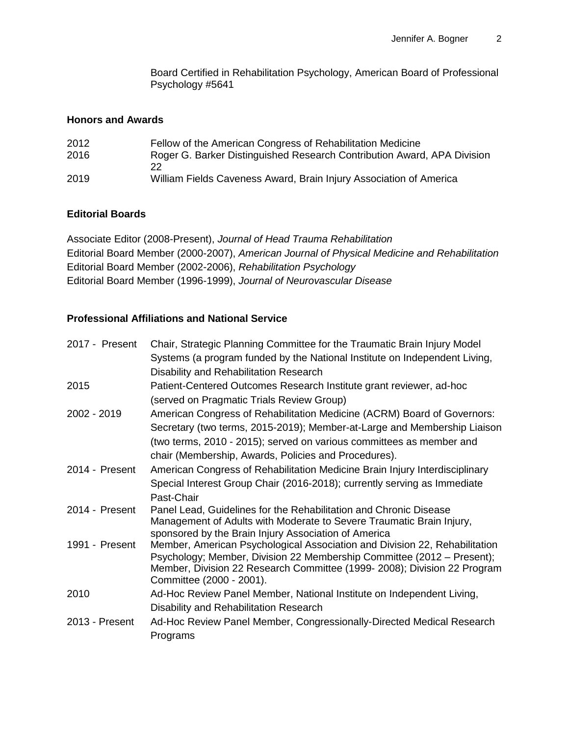Board Certified in Rehabilitation Psychology, American Board of Professional Psychology #5641

#### **Honors and Awards**

| 2012 | Fellow of the American Congress of Rehabilitation Medicine              |
|------|-------------------------------------------------------------------------|
| 2016 | Roger G. Barker Distinguished Research Contribution Award, APA Division |
|      | 22                                                                      |
| 2019 | William Fields Caveness Award, Brain Injury Association of America      |

### **Editorial Boards**

Associate Editor (2008-Present), *Journal of Head Trauma Rehabilitation* Editorial Board Member (2000-2007), *American Journal of Physical Medicine and Rehabilitation* Editorial Board Member (2002-2006), *Rehabilitation Psychology* Editorial Board Member (1996-1999), *Journal of Neurovascular Disease*

## **Professional Affiliations and National Service**

| 2017 - Present | Chair, Strategic Planning Committee for the Traumatic Brain Injury Model                             |
|----------------|------------------------------------------------------------------------------------------------------|
|                | Systems (a program funded by the National Institute on Independent Living,                           |
|                | Disability and Rehabilitation Research                                                               |
| 2015           | Patient-Centered Outcomes Research Institute grant reviewer, ad-hoc                                  |
|                | (served on Pragmatic Trials Review Group)                                                            |
| 2002 - 2019    | American Congress of Rehabilitation Medicine (ACRM) Board of Governors:                              |
|                | Secretary (two terms, 2015-2019); Member-at-Large and Membership Liaison                             |
|                | (two terms, 2010 - 2015); served on various committees as member and                                 |
|                | chair (Membership, Awards, Policies and Procedures).                                                 |
| 2014 - Present | American Congress of Rehabilitation Medicine Brain Injury Interdisciplinary                          |
|                | Special Interest Group Chair (2016-2018); currently serving as Immediate                             |
|                | Past-Chair                                                                                           |
| 2014 - Present | Panel Lead, Guidelines for the Rehabilitation and Chronic Disease                                    |
|                | Management of Adults with Moderate to Severe Traumatic Brain Injury,                                 |
|                | sponsored by the Brain Injury Association of America                                                 |
| 1991 - Present | Member, American Psychological Association and Division 22, Rehabilitation                           |
|                | Psychology; Member, Division 22 Membership Committee (2012 – Present);                               |
|                | Member, Division 22 Research Committee (1999- 2008); Division 22 Program<br>Committee (2000 - 2001). |
| 2010           | Ad-Hoc Review Panel Member, National Institute on Independent Living,                                |
|                | Disability and Rehabilitation Research                                                               |
| 2013 - Present | Ad-Hoc Review Panel Member, Congressionally-Directed Medical Research                                |
|                |                                                                                                      |
|                | Programs                                                                                             |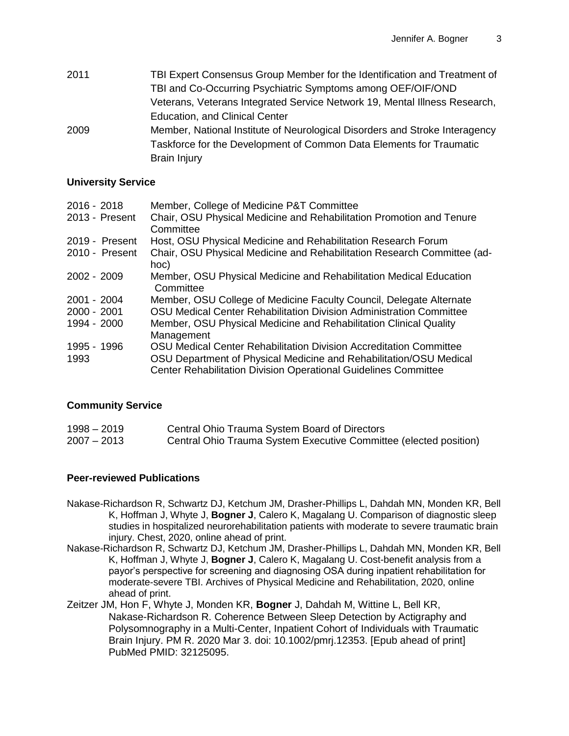| 2011 | TBI Expert Consensus Group Member for the Identification and Treatment of   |
|------|-----------------------------------------------------------------------------|
|      | TBI and Co-Occurring Psychiatric Symptoms among OEF/OIF/OND                 |
|      | Veterans, Veterans Integrated Service Network 19, Mental Illness Research,  |
|      | <b>Education, and Clinical Center</b>                                       |
| 2009 | Member, National Institute of Neurological Disorders and Stroke Interagency |
|      | Taskforce for the Development of Common Data Elements for Traumatic         |
|      | <b>Brain Injury</b>                                                         |

#### **University Service**

| 2016 - 2018    | Member, College of Medicine P&T Committee                                       |
|----------------|---------------------------------------------------------------------------------|
| 2013 - Present | Chair, OSU Physical Medicine and Rehabilitation Promotion and Tenure            |
|                | Committee                                                                       |
| 2019 - Present | Host, OSU Physical Medicine and Rehabilitation Research Forum                   |
| 2010 - Present | Chair, OSU Physical Medicine and Rehabilitation Research Committee (ad-         |
|                | hoc)                                                                            |
| 2002 - 2009    | Member, OSU Physical Medicine and Rehabilitation Medical Education<br>Committee |
| 2001 - 2004    | Member, OSU College of Medicine Faculty Council, Delegate Alternate             |
| 2000 - 2001    | OSU Medical Center Rehabilitation Division Administration Committee             |
| 1994 - 2000    | Member, OSU Physical Medicine and Rehabilitation Clinical Quality               |
|                | Management                                                                      |
| 1995 - 1996    | OSU Medical Center Rehabilitation Division Accreditation Committee              |
| 1993           | OSU Department of Physical Medicine and Rehabilitation/OSU Medical              |
|                | <b>Center Rehabilitation Division Operational Guidelines Committee</b>          |

#### **Community Service**

| 1998 – 2019   | Central Ohio Trauma System Board of Directors                     |
|---------------|-------------------------------------------------------------------|
| $2007 - 2013$ | Central Ohio Trauma System Executive Committee (elected position) |

#### **Peer-reviewed Publications**

- Nakase-Richardson R, Schwartz DJ, Ketchum JM, Drasher-Phillips L, Dahdah MN, Monden KR, Bell K, Hoffman J, Whyte J, **Bogner J**, Calero K, Magalang U. Comparison of diagnostic sleep studies in hospitalized neurorehabilitation patients with moderate to severe traumatic brain injury. Chest, 2020, online ahead of print.
- Nakase-Richardson R, Schwartz DJ, Ketchum JM, Drasher-Phillips L, Dahdah MN, Monden KR, Bell K, Hoffman J, Whyte J, **Bogner J**, Calero K, Magalang U. Cost-benefit analysis from a payor's perspective for screening and diagnosing OSA during inpatient rehabilitation for moderate-severe TBI. Archives of Physical Medicine and Rehabilitation, 2020, online ahead of print.
- Zeitzer JM, Hon F, Whyte J, Monden KR, **Bogner** J, Dahdah M, Wittine L, Bell KR, Nakase-Richardson R. Coherence Between Sleep Detection by Actigraphy and Polysomnography in a Multi-Center, Inpatient Cohort of Individuals with Traumatic Brain Injury. PM R. 2020 Mar 3. doi: 10.1002/pmrj.12353. [Epub ahead of print] PubMed PMID: 32125095.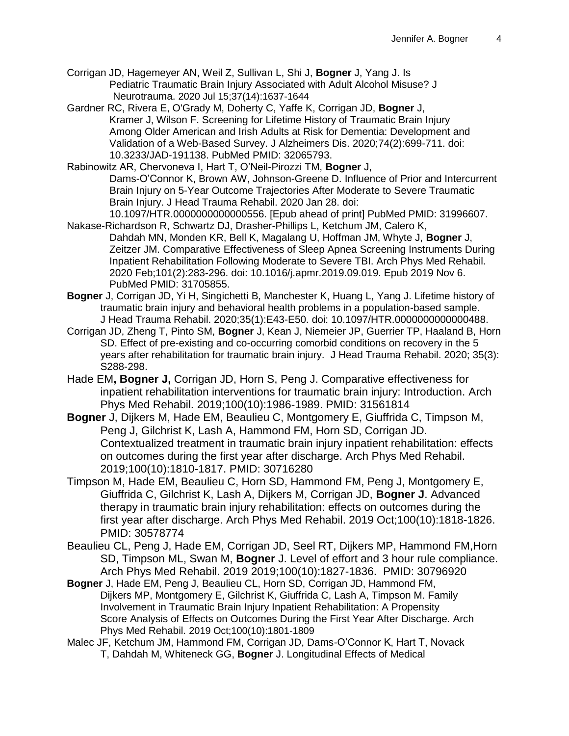- Corrigan JD, Hagemeyer AN, Weil Z, Sullivan L, Shi J, **Bogner** J, Yang J. Is Pediatric Traumatic Brain Injury Associated with Adult Alcohol Misuse? J Neurotrauma. 2020 Jul 15;37(14):1637-1644
- Gardner RC, Rivera E, O'Grady M, Doherty C, Yaffe K, Corrigan JD, **Bogner** J, Kramer J, Wilson F. Screening for Lifetime History of Traumatic Brain Injury Among Older American and Irish Adults at Risk for Dementia: Development and Validation of a Web-Based Survey. J Alzheimers Dis. 2020;74(2):699-711. doi: 10.3233/JAD-191138. PubMed PMID: 32065793.
- Rabinowitz AR, Chervoneva I, Hart T, O'Neil-Pirozzi TM, **Bogner** J, Dams-O'Connor K, Brown AW, Johnson-Greene D. Influence of Prior and Intercurrent Brain Injury on 5-Year Outcome Trajectories After Moderate to Severe Traumatic Brain Injury. J Head Trauma Rehabil. 2020 Jan 28. doi: 10.1097/HTR.0000000000000556. [Epub ahead of print] PubMed PMID: 31996607.
- Nakase-Richardson R, Schwartz DJ, Drasher-Phillips L, Ketchum JM, Calero K, Dahdah MN, Monden KR, Bell K, Magalang U, Hoffman JM, Whyte J, **Bogner** J, Zeitzer JM. Comparative Effectiveness of Sleep Apnea Screening Instruments During Inpatient Rehabilitation Following Moderate to Severe TBI. Arch Phys Med Rehabil. 2020 Feb;101(2):283-296. doi: 10.1016/j.apmr.2019.09.019. Epub 2019 Nov 6. PubMed PMID: 31705855.
- **Bogner** J, Corrigan JD, Yi H, Singichetti B, Manchester K, Huang L, Yang J. Lifetime history of traumatic brain injury and behavioral health problems in a population-based sample. J Head Trauma Rehabil. 2020;35(1):E43-E50. doi: 10.1097/HTR.0000000000000488.
- Corrigan JD, Zheng T, Pinto SM, **Bogner** J, Kean J, Niemeier JP, Guerrier TP, Haaland B, Horn SD. Effect of pre-existing and co-occurring comorbid conditions on recovery in the 5 years after rehabilitation for traumatic brain injury. J Head Trauma Rehabil. 2020; 35(3): S288-298.
- Hade EM**, Bogner J,** Corrigan JD, Horn S, Peng J. Comparative effectiveness for inpatient rehabilitation interventions for traumatic brain injury: Introduction. Arch Phys Med Rehabil. 2019;100(10):1986-1989. PMID: 31561814
- **Bogner** J, Dijkers M, Hade EM, Beaulieu C, Montgomery E, Giuffrida C, Timpson M, Peng J, Gilchrist K, Lash A, Hammond FM, Horn SD, Corrigan JD. Contextualized treatment in traumatic brain injury inpatient rehabilitation: effects on outcomes during the first year after discharge. Arch Phys Med Rehabil. 2019;100(10):1810-1817. PMID: 30716280
- Timpson M, Hade EM, Beaulieu C, Horn SD, Hammond FM, Peng J, Montgomery E, Giuffrida C, Gilchrist K, Lash A, Dijkers M, Corrigan JD, **Bogner J**. Advanced therapy in traumatic brain injury rehabilitation: effects on outcomes during the first year after discharge. Arch Phys Med Rehabil. 2019 Oct;100(10):1818-1826. PMID: 30578774
- Beaulieu CL, Peng J, Hade EM, Corrigan JD, Seel RT, Dijkers MP, Hammond FM,Horn SD, Timpson ML, Swan M, **Bogner** J. Level of effort and 3 hour rule compliance. Arch Phys Med Rehabil. 2019 2019;100(10):1827-1836. PMID: 30796920
- **Bogner** J, Hade EM, Peng J, Beaulieu CL, Horn SD, Corrigan JD, Hammond FM, Dijkers MP, Montgomery E, Gilchrist K, Giuffrida C, Lash A, Timpson M. Family Involvement in Traumatic Brain Injury Inpatient Rehabilitation: A Propensity Score Analysis of Effects on Outcomes During the First Year After Discharge. Arch Phys Med Rehabil. 2019 Oct;100(10):1801-1809
- Malec JF, Ketchum JM, Hammond FM, Corrigan JD, Dams-O'Connor K, Hart T, Novack T, Dahdah M, Whiteneck GG, **Bogner** J. Longitudinal Effects of Medical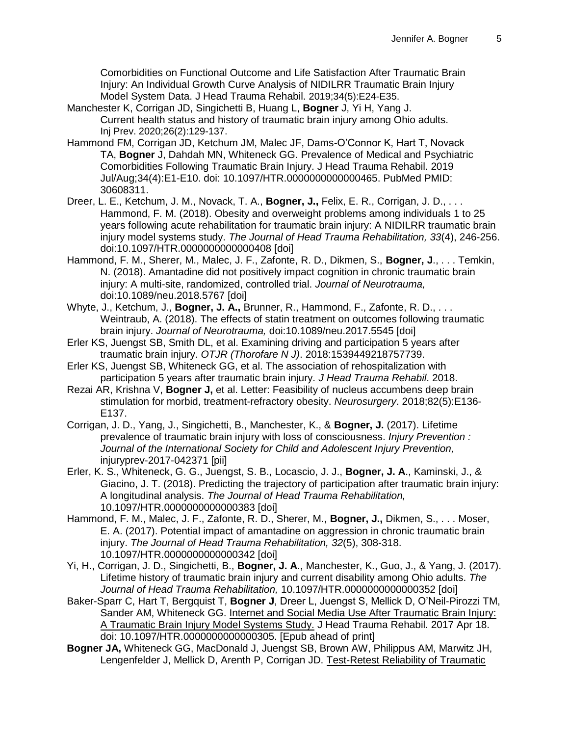Comorbidities on Functional Outcome and Life Satisfaction After Traumatic Brain Injury: An Individual Growth Curve Analysis of NIDILRR Traumatic Brain Injury Model System Data. J Head Trauma Rehabil. 2019;34(5):E24-E35.

- Manchester K, Corrigan JD, Singichetti B, Huang L, **Bogner** J, Yi H, Yang J. Current health status and history of traumatic brain injury among Ohio adults. Inj Prev. 2020;26(2):129-137.
- Hammond FM, Corrigan JD, Ketchum JM, Malec JF, Dams-O'Connor K, Hart T, Novack TA, **Bogner** J, Dahdah MN, Whiteneck GG. Prevalence of Medical and Psychiatric Comorbidities Following Traumatic Brain Injury. J Head Trauma Rehabil. 2019 Jul/Aug;34(4):E1-E10. doi: 10.1097/HTR.0000000000000465. PubMed PMID: 30608311.
- Dreer, L. E., Ketchum, J. M., Novack, T. A., **Bogner, J.,** Felix, E. R., Corrigan, J. D., . . . Hammond, F. M. (2018). Obesity and overweight problems among individuals 1 to 25 years following acute rehabilitation for traumatic brain injury: A NIDILRR traumatic brain injury model systems study. *The Journal of Head Trauma Rehabilitation, 33*(4), 246-256. doi:10.1097/HTR.0000000000000408 [doi]
- Hammond, F. M., Sherer, M., Malec, J. F., Zafonte, R. D., Dikmen, S., **Bogner, J**., . . . Temkin, N. (2018). Amantadine did not positively impact cognition in chronic traumatic brain injury: A multi-site, randomized, controlled trial. *Journal of Neurotrauma,*  doi:10.1089/neu.2018.5767 [doi]
- Whyte, J., Ketchum, J., **Bogner, J. A.,** Brunner, R., Hammond, F., Zafonte, R. D., . . . Weintraub, A. (2018). The effects of statin treatment on outcomes following traumatic brain injury. *Journal of Neurotrauma,* doi:10.1089/neu.2017.5545 [doi]
- Erler KS, Juengst SB, Smith DL, et al. Examining driving and participation 5 years after traumatic brain injury. *OTJR (Thorofare N J)*. 2018:1539449218757739.
- Erler KS, Juengst SB, Whiteneck GG, et al. The association of rehospitalization with participation 5 years after traumatic brain injury. *J Head Trauma Rehabil*. 2018.
- Rezai AR, Krishna V, **Bogner J,** et al. Letter: Feasibility of nucleus accumbens deep brain stimulation for morbid, treatment-refractory obesity. *Neurosurgery*. 2018;82(5):E136- E137.
- Corrigan, J. D., Yang, J., Singichetti, B., Manchester, K., & **Bogner, J.** (2017). Lifetime prevalence of traumatic brain injury with loss of consciousness. *Injury Prevention : Journal of the International Society for Child and Adolescent Injury Prevention,*  injuryprev-2017-042371 [pii]
- Erler, K. S., Whiteneck, G. G., Juengst, S. B., Locascio, J. J., **Bogner, J. A**., Kaminski, J., & Giacino, J. T. (2018). Predicting the trajectory of participation after traumatic brain injury: A longitudinal analysis. *The Journal of Head Trauma Rehabilitation,*  10.1097/HTR.0000000000000383 [doi]
- Hammond, F. M., Malec, J. F., Zafonte, R. D., Sherer, M., **Bogner, J.,** Dikmen, S., . . . Moser, E. A. (2017). Potential impact of amantadine on aggression in chronic traumatic brain injury. *The Journal of Head Trauma Rehabilitation, 32*(5), 308-318. 10.1097/HTR.0000000000000342 [doi]
- Yi, H., Corrigan, J. D., Singichetti, B., **Bogner, J. A**., Manchester, K., Guo, J., & Yang, J. (2017). Lifetime history of traumatic brain injury and current disability among Ohio adults. *The Journal of Head Trauma Rehabilitation,* 10.1097/HTR.0000000000000352 [doi]
- Baker-Sparr C, Hart T, Bergquist T, **Bogner J**, Dreer L, Juengst S, Mellick D, O'Neil-Pirozzi TM, Sander AM, Whiteneck GG. [Internet and Social Media Use After Traumatic Brain Injury:](https://www-ncbi-nlm-nih-gov.proxy.lib.ohio-state.edu/pubmed/28422898)  [A Traumatic Brain Injury Model Systems Study.](https://www-ncbi-nlm-nih-gov.proxy.lib.ohio-state.edu/pubmed/28422898) J Head Trauma Rehabil. 2017 Apr 18. doi: 10.1097/HTR.0000000000000305. [Epub ahead of print]
- **Bogner JA,** Whiteneck GG, MacDonald J, Juengst SB, Brown AW, Philippus AM, Marwitz JH, Lengenfelder J, Mellick D, Arenth P, Corrigan JD. Test-Retest Reliability of Traumatic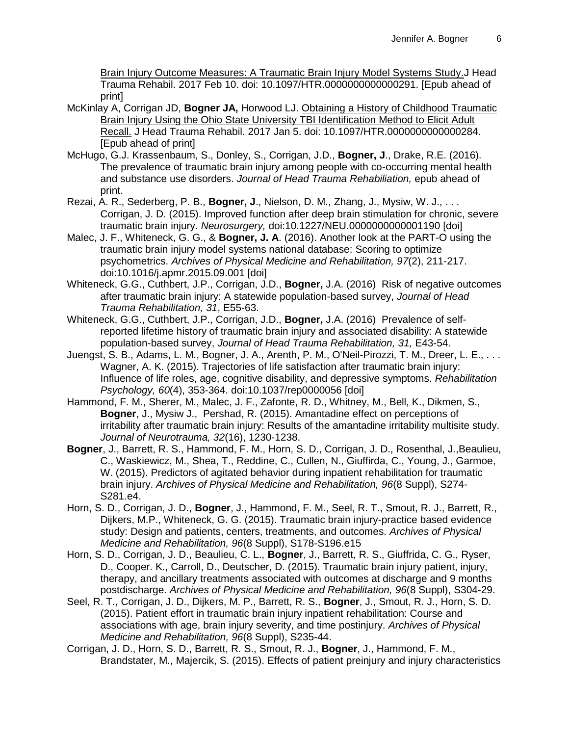Brain Injury Outcome Measures: A Traumatic Brain Injury Model Systems Study.J Head Trauma Rehabil. 2017 Feb 10. doi: 10.1097/HTR.0000000000000291. [Epub ahead of print]

- McKinlay A, Corrigan JD, **Bogner JA,** Horwood LJ. [Obtaining a History of Childhood Traumatic](https://www-ncbi-nlm-nih-gov.proxy.lib.ohio-state.edu/pubmed/28060210)  [Brain Injury Using the Ohio State University TBI Identification](https://www-ncbi-nlm-nih-gov.proxy.lib.ohio-state.edu/pubmed/28060210) Method to Elicit Adult [Recall.](https://www-ncbi-nlm-nih-gov.proxy.lib.ohio-state.edu/pubmed/28060210) J Head Trauma Rehabil. 2017 Jan 5. doi: 10.1097/HTR.0000000000000284. [Epub ahead of print]
- McHugo, G.J. Krassenbaum, S., Donley, S., Corrigan, J.D., **Bogner, J**., Drake, R.E. (2016). The prevalence of traumatic brain injury among people with co-occurring mental health and substance use disorders. *Journal of Head Trauma Rehabiliation,* epub ahead of print.
- Rezai, A. R., Sederberg, P. B., **Bogner, J**., Nielson, D. M., Zhang, J., Mysiw, W. J., . . . Corrigan, J. D. (2015). Improved function after deep brain stimulation for chronic, severe traumatic brain injury. *Neurosurgery,* doi:10.1227/NEU.0000000000001190 [doi]
- Malec, J. F., Whiteneck, G. G., & **Bogner, J. A**. (2016). Another look at the PART-O using the traumatic brain injury model systems national database: Scoring to optimize psychometrics. *Archives of Physical Medicine and Rehabilitation, 97*(2), 211-217. doi:10.1016/j.apmr.2015.09.001 [doi]
- Whiteneck, G.G., Cuthbert, J.P., Corrigan, J.D., **Bogner,** J.A. (2016) Risk of negative outcomes after traumatic brain injury: A statewide population-based survey, *Journal of Head Trauma Rehabilitation, 31*, E55-63.
- Whiteneck, G.G., Cuthbert, J.P., Corrigan, J.D., **Bogner,** J.A. (2016) Prevalence of selfreported lifetime history of traumatic brain injury and associated disability: A statewide population-based survey, *Journal of Head Trauma Rehabilitation, 31,* E43-54.
- Juengst, S. B., Adams, L. M., Bogner, J. A., Arenth, P. M., O'Neil-Pirozzi, T. M., Dreer, L. E., . . . Wagner, A. K. (2015). Trajectories of life satisfaction after traumatic brain injury: Influence of life roles, age, cognitive disability, and depressive symptoms. *Rehabilitation Psychology, 60*(4), 353-364. doi:10.1037/rep0000056 [doi]
- Hammond, F. M., Sherer, M., Malec, J. F., Zafonte, R. D., Whitney, M., Bell, K., Dikmen, S., **Bogner**, J., Mysiw J., Pershad, R. (2015). Amantadine effect on perceptions of irritability after traumatic brain injury: Results of the amantadine irritability multisite study. *Journal of Neurotrauma, 32*(16), 1230-1238.
- **Bogner**, J., Barrett, R. S., Hammond, F. M., Horn, S. D., Corrigan, J. D., Rosenthal, J.,Beaulieu, C., Waskiewicz, M., Shea, T., Reddine, C., Cullen, N., Giuffirda, C., Young, J., Garmoe, W. (2015). Predictors of agitated behavior during inpatient rehabilitation for traumatic brain injury. *Archives of Physical Medicine and Rehabilitation, 96*(8 Suppl), S274- S281.e4.
- Horn, S. D., Corrigan, J. D., **Bogner**, J., Hammond, F. M., Seel, R. T., Smout, R. J., Barrett, R., Dijkers, M.P., Whiteneck, G. G. (2015). Traumatic brain injury-practice based evidence study: Design and patients, centers, treatments, and outcomes. *Archives of Physical Medicine and Rehabilitation, 96*(8 Suppl), S178-S196.e15
- Horn, S. D., Corrigan, J. D., Beaulieu, C. L., **Bogner**, J., Barrett, R. S., Giuffrida, C. G., Ryser, D., Cooper. K., Carroll, D., Deutscher, D. (2015). Traumatic brain injury patient, injury, therapy, and ancillary treatments associated with outcomes at discharge and 9 months postdischarge. *Archives of Physical Medicine and Rehabilitation, 96*(8 Suppl), S304-29.
- Seel, R. T., Corrigan, J. D., Dijkers, M. P., Barrett, R. S., **Bogner**, J., Smout, R. J., Horn, S. D. (2015). Patient effort in traumatic brain injury inpatient rehabilitation: Course and associations with age, brain injury severity, and time postinjury. *Archives of Physical Medicine and Rehabilitation, 96*(8 Suppl), S235-44.
- Corrigan, J. D., Horn, S. D., Barrett, R. S., Smout, R. J., **Bogner**, J., Hammond, F. M., Brandstater, M., Majercik, S. (2015). Effects of patient preinjury and injury characteristics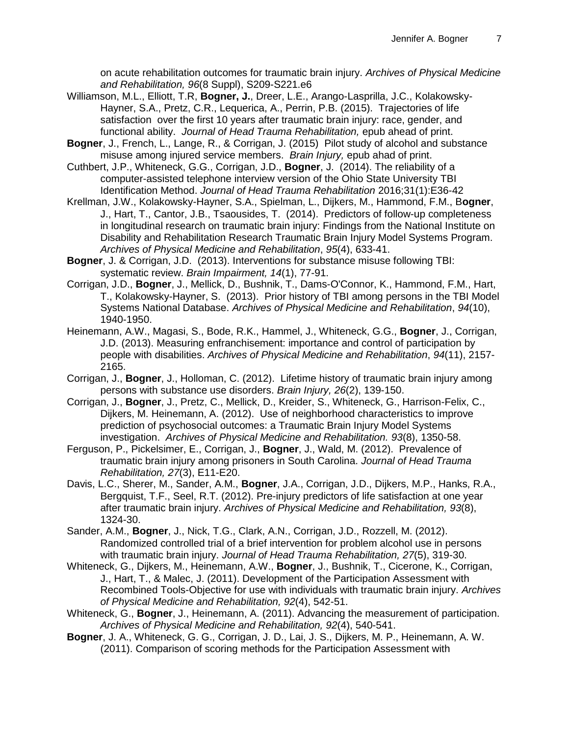on acute rehabilitation outcomes for traumatic brain injury. *Archives of Physical Medicine and Rehabilitation, 96*(8 Suppl), S209-S221.e6

- Williamson, M.L., Elliott, T.R, **Bogner, J.**, Dreer, L.E., Arango-Lasprilla, J.C., Kolakowsky-Hayner, S.A., Pretz, C.R., Lequerica, A., Perrin, P.B. (2015). Trajectories of life satisfaction over the first 10 years after traumatic brain injury: race, gender, and functional ability. *Journal of Head Trauma Rehabilitation,* epub ahead of print.
- **Bogner**, J., French, L., Lange, R., & Corrigan, J. (2015) Pilot study of alcohol and substance misuse among injured service members. *Brain Injury,* epub ahad of print.
- Cuthbert, J.P., Whiteneck, G.G., Corrigan, J.D., **Bogner**, J. (2014). The reliability of a computer-assisted telephone interview version of the Ohio State University TBI Identification Method. *Journal of Head Trauma Rehabilitation* 2016;31(1):E36-42
- Krellman, J.W., Kolakowsky-Hayner, S.A., Spielman, L., Dijkers, M., Hammond, F.M., B**ogner**, J., Hart, T., Cantor, J.B., Tsaousides, T. (2014). Predictors of follow-up completeness in longitudinal research on traumatic brain injury: Findings from the National Institute on Disability and Rehabilitation Research Traumatic Brain Injury Model Systems Program. *Archives of Physical Medicine and Rehabilitation*, *95*(4), 633-41.
- **Bogner**, J. & Corrigan, J.D. (2013). Interventions for substance misuse following TBI: systematic review. *Brain Impairment, 14*(1), 77-91.
- Corrigan, J.D., **Bogner**, J., Mellick, D., Bushnik, T., Dams-O'Connor, K., Hammond, F.M., Hart, T., Kolakowsky-Hayner, S. (2013). Prior history of TBI among persons in the TBI Model Systems National Database. *Archives of Physical Medicine and Rehabilitation*, *94*(10), 1940-1950.
- Heinemann, A.W., Magasi, S., Bode, R.K., Hammel, J., Whiteneck, G.G., **Bogner**, J., Corrigan, J.D. (2013). Measuring enfranchisement: importance and control of participation by people with disabilities. *Archives of Physical Medicine and Rehabilitation*, *94*(11), 2157- 2165.
- Corrigan, J., **Bogner**, J., Holloman, C. (2012). Lifetime history of traumatic brain injury among persons with substance use disorders. *Brain Injury, 26*(2), 139-150.
- Corrigan, J., **Bogner**, J., Pretz, C., Mellick, D., Kreider, S., Whiteneck, G., Harrison-Felix, C., Dijkers, M. Heinemann, A. (2012). Use of neighborhood characteristics to improve prediction of psychosocial outcomes: a Traumatic Brain Injury Model Systems investigation. *Archives of Physical Medicine and Rehabilitation. 93*(8), 1350-58.
- Ferguson, P., Pickelsimer, E., Corrigan, J., **Bogner**, J., Wald, M. (2012). Prevalence of traumatic brain injury among prisoners in South Carolina. *Journal of Head Trauma Rehabilitation, 27*(3), E11-E20.
- Davis, L.C., Sherer, M., Sander, A.M., **Bogner**, J.A., Corrigan, J.D., Dijkers, M.P., Hanks, R.A., Bergquist, T.F., Seel, R.T. (2012). Pre-injury predictors of life satisfaction at one year after traumatic brain injury. *Archives of Physical Medicine and Rehabilitation, 93*(8), 1324-30.
- Sander, A.M., **Bogner**, J., Nick, T.G., Clark, A.N., Corrigan, J.D., Rozzell, M. (2012). Randomized controlled trial of a brief intervention for problem alcohol use in persons with traumatic brain injury. *Journal of Head Trauma Rehabilitation, 27*(5), 319-30.
- Whiteneck, G., Dijkers, M., Heinemann, A.W., **Bogner**, J., Bushnik, T., Cicerone, K., Corrigan, J., Hart, T., & Malec, J. (2011). Development of the Participation Assessment with Recombined Tools-Objective for use with individuals with traumatic brain injury. *Archives of Physical Medicine and Rehabilitation, 92*(4), 542-51.
- Whiteneck, G., **Bogner**, J., Heinemann, A. (2011). Advancing the measurement of participation. *Archives of Physical Medicine and Rehabilitation, 92*(4), 540-541.
- **Bogner**, J. A., Whiteneck, G. G., Corrigan, J. D., Lai, J. S., Dijkers, M. P., Heinemann, A. W. (2011). Comparison of scoring methods for the Participation Assessment with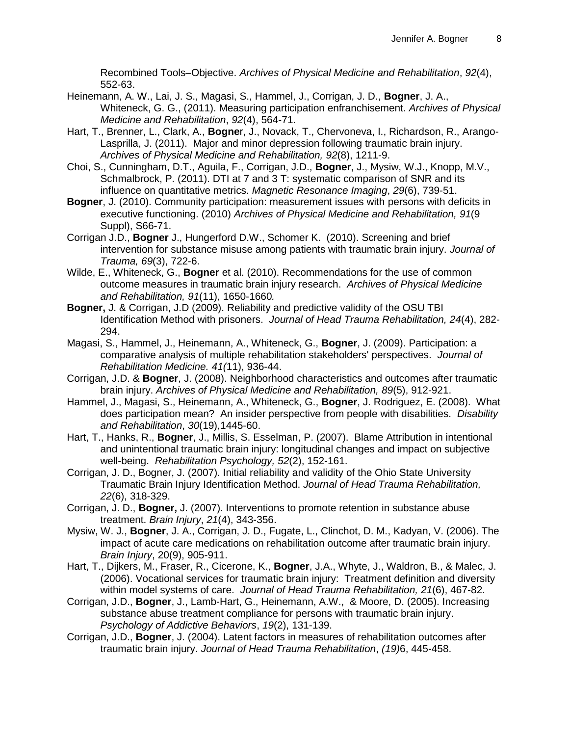Recombined Tools–Objective. *Archives of Physical Medicine and Rehabilitation*, *92*(4), 552-63.

- Heinemann, A. W., Lai, J. S., Magasi, S., Hammel, J., Corrigan, J. D., **Bogner**, J. A., Whiteneck, G. G., (2011). Measuring participation enfranchisement. *Archives of Physical Medicine and Rehabilitation*, *92*(4), 564-71.
- Hart, T., Brenner, L., Clark, A., **Bogne**r, J., Novack, T., Chervoneva, I., Richardson, R., Arango-Lasprilla, J. (2011). Major and minor depression following traumatic brain injury. *Archives of Physical Medicine and Rehabilitation, 92*(8), 1211-9.
- Choi, S., Cunningham, D.T., Aguila, F., Corrigan, J.D., **Bogner**, J., Mysiw, W.J., Knopp, M.V., Schmalbrock, P. (2011). DTI at 7 and 3 T: systematic comparison of SNR and its influence on quantitative metrics. *Magnetic Resonance Imaging*, *29*(6), 739-51.
- **Bogner**, J. (2010). Community participation: measurement issues with persons with deficits in executive functioning. (2010) *Archives of Physical Medicine and Rehabilitation, 91*(9 Suppl), S66-71.
- Corrigan J.D., **Bogner** J., Hungerford D.W., Schomer K. (2010). Screening and brief intervention for substance misuse among patients with traumatic brain injury. *Journal of Trauma, 69*(3), 722-6.
- Wilde, E., Whiteneck, G., **Bogner** et al. (2010). Recommendations for the use of common outcome measures in traumatic brain injury research. *Archives of Physical Medicine and Rehabilitation, 91*(11), 1650-1660*.*
- **Bogner,** J. & Corrigan, J.D (2009). Reliability and predictive validity of the OSU TBI Identification Method with prisoners. *Journal of Head Trauma Rehabilitation, 24*(4), 282- 294.
- Magasi, S., Hammel, J., Heinemann, A., Whiteneck, G., **Bogner**, J. (2009). Participation: a comparative analysis of multiple rehabilitation stakeholders' perspectives. *Journal of Rehabilitation Medicine. 41(*11), 936-44.
- Corrigan, J.D. & **Bogner**, J. (2008). Neighborhood characteristics and outcomes after traumatic brain injury. *Archives of Physical Medicine and Rehabilitation, 89*(5), 912-921.
- Hammel, J., Magasi, S., Heinemann, A., Whiteneck, G., **Bogner**, J. Rodriguez, E. (2008). What does participation mean? An insider perspective from people with disabilities. *Disability and Rehabilitation*, *30*(19),1445-60.
- Hart, T., Hanks, R., **Bogner**, J., Millis, S. Esselman, P. (2007). Blame Attribution in intentional and unintentional traumatic brain injury: longitudinal changes and impact on subjective well-being. *Rehabilitation Psychology, 52*(2), 152-161.
- Corrigan, J. D., Bogner, J. (2007). Initial reliability and validity of the Ohio State University Traumatic Brain Injury Identification Method. *Journal of Head Trauma Rehabilitation, 22*(6), 318-329.
- Corrigan, J. D., **Bogner,** J. (2007). Interventions to promote retention in substance abuse treatment. *Brain Injury*, *21*(4), 343-356.
- Mysiw, W. J., **Bogner**, J. A., Corrigan, J. D., Fugate, L., Clinchot, D. M., Kadyan, V. (2006). The impact of acute care medications on rehabilitation outcome after traumatic brain injury. *Brain Injury*, 20(9), 905-911.
- Hart, T., Dijkers, M., Fraser, R., Cicerone, K., **Bogner**, J.A., Whyte, J., Waldron, B., & Malec, J. (2006). Vocational services for traumatic brain injury: Treatment definition and diversity within model systems of care. *Journal of Head Trauma Rehabilitation, 21*(6), 467-82.
- Corrigan, J.D., **Bogner**, J., Lamb-Hart, G., Heinemann, A.W., & Moore, D. (2005). Increasing substance abuse treatment compliance for persons with traumatic brain injury. *Psychology of Addictive Behaviors*, *19*(2), 131-139.
- Corrigan, J.D., **Bogner**, J. (2004). Latent factors in measures of rehabilitation outcomes after traumatic brain injury. *Journal of Head Trauma Rehabilitation*, *(19)*6, 445-458.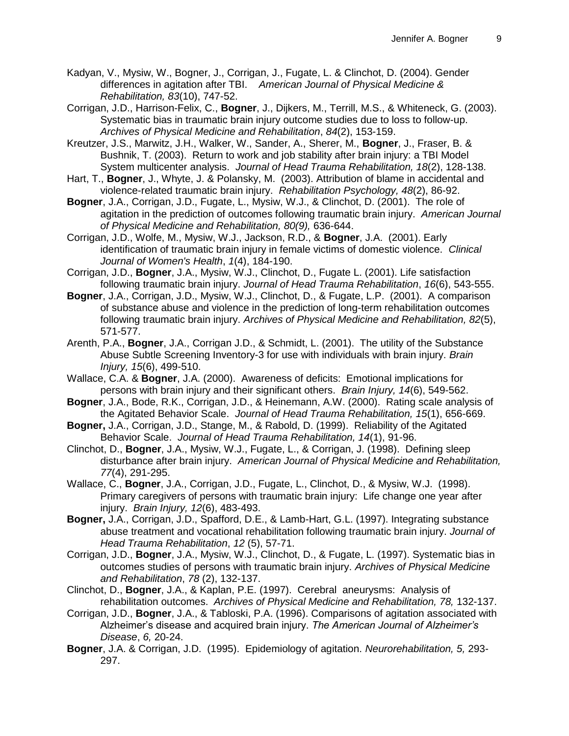Kadyan, V., Mysiw, W., Bogner, J., Corrigan, J., Fugate, L. & Clinchot, D. (2004). Gender differences in agitation after TBI. *American Journal of Physical Medicine & Rehabilitation, 83*(10), 747-52.

Corrigan, J.D., Harrison-Felix, C., **Bogner**, J., Dijkers, M., Terrill, M.S., & Whiteneck, G. (2003). Systematic bias in traumatic brain injury outcome studies due to loss to follow-up. *Archives of Physical Medicine and Rehabilitation*, *84*(2), 153-159.

Kreutzer, J.S., Marwitz, J.H., Walker, W., Sander, A., Sherer, M., **Bogner**, J., Fraser, B. & Bushnik, T. (2003). Return to work and job stability after brain injury: a TBI Model System multicenter analysis. *Journal of Head Trauma Rehabilitation, 18*(2), 128-138.

Hart, T., **Bogner**, J., Whyte, J. & Polansky, M. (2003). Attribution of blame in accidental and violence-related traumatic brain injury. *Rehabilitation Psychology, 48*(2), 86-92.

**Bogner**, J.A., Corrigan, J.D., Fugate, L., Mysiw, W.J., & Clinchot, D. (2001). The role of agitation in the prediction of outcomes following traumatic brain injury. *American Journal of Physical Medicine and Rehabilitation, 80(9),* 636-644.

Corrigan, J.D., Wolfe, M., Mysiw, W.J., Jackson, R.D., & **Bogner**, J.A. (2001). Early identification of traumatic brain injury in female victims of domestic violence. *Clinical Journal of Women's Health*, *1*(4), 184-190.

Corrigan, J.D., **Bogner**, J.A., Mysiw, W.J., Clinchot, D., Fugate L. (2001). Life satisfaction following traumatic brain injury. *Journal of Head Trauma Rehabilitation*, *16*(6), 543-555.

**Bogner**, J.A., Corrigan, J.D., Mysiw, W.J., Clinchot, D., & Fugate, L.P. (2001). A comparison of substance abuse and violence in the prediction of long-term rehabilitation outcomes following traumatic brain injury. *Archives of Physical Medicine and Rehabilitation, 82*(5), 571-577.

Arenth, P.A., **Bogner**, J.A., Corrigan J.D., & Schmidt, L. (2001). The utility of the Substance Abuse Subtle Screening Inventory-3 for use with individuals with brain injury. *Brain Injury, 15*(6), 499-510.

Wallace, C.A. & **Bogner**, J.A. (2000). Awareness of deficits: Emotional implications for persons with brain injury and their significant others. *Brain Injury, 14*(6), 549-562.

**Bogner**, J.A., Bode, R.K., Corrigan, J.D., & Heinemann, A.W. (2000). Rating scale analysis of the Agitated Behavior Scale. *Journal of Head Trauma Rehabilitation, 15*(1), 656-669.

**Bogner,** J.A., Corrigan, J.D., Stange, M., & Rabold, D. (1999). Reliability of the Agitated Behavior Scale. *Journal of Head Trauma Rehabilitation, 14*(1), 91-96.

Clinchot, D., **Bogner**, J.A., Mysiw, W.J., Fugate, L., & Corrigan, J. (1998). Defining sleep disturbance after brain injury. *American Journal of Physical Medicine and Rehabilitation, 77*(4), 291-295.

Wallace, C., **Bogner**, J.A., Corrigan, J.D., Fugate, L., Clinchot, D., & Mysiw, W.J. (1998). Primary caregivers of persons with traumatic brain injury: Life change one year after injury. *Brain Injury, 12*(6), 483-493.

**Bogner,** J.A., Corrigan, J.D., Spafford, D.E., & Lamb-Hart, G.L. (1997). Integrating substance abuse treatment and vocational rehabilitation following traumatic brain injury. *Journal of Head Trauma Rehabilitation*, *12* (5), 57-71.

Corrigan, J.D., **Bogner**, J.A., Mysiw, W.J., Clinchot, D., & Fugate, L. (1997). Systematic bias in outcomes studies of persons with traumatic brain injury. *Archives of Physical Medicine and Rehabilitation*, *78* (2), 132-137.

Clinchot, D., **Bogner**, J.A., & Kaplan, P.E. (1997). Cerebral aneurysms: Analysis of rehabilitation outcomes. *Archives of Physical Medicine and Rehabilitation, 78,* 132-137.

Corrigan, J.D., **Bogner**, J.A., & Tabloski, P.A. (1996). Comparisons of agitation associated with Alzheimer's disease and acquired brain injury. *The American Journal of Alzheimer's Disease*, *6,* 20-24.

**Bogner**, J.A. & Corrigan, J.D. (1995). Epidemiology of agitation. *Neurorehabilitation, 5,* 293- 297.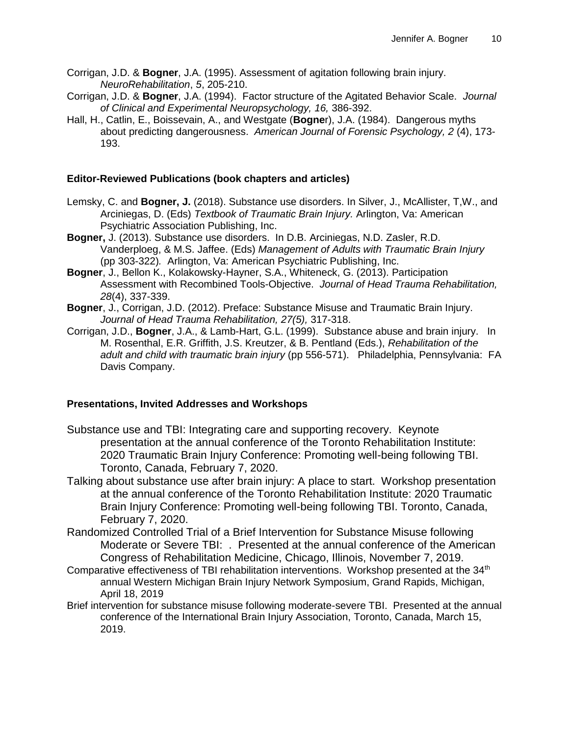- Corrigan, J.D. & **Bogner**, J.A. (1995). Assessment of agitation following brain injury. *NeuroRehabilitation*, *5*, 205-210.
- Corrigan, J.D. & **Bogner**, J.A. (1994). Factor structure of the Agitated Behavior Scale. *Journal of Clinical and Experimental Neuropsychology, 16,* 386-392.
- Hall, H., Catlin, E., Boissevain, A., and Westgate (**Bogne**r), J.A. (1984). Dangerous myths about predicting dangerousness. *American Journal of Forensic Psychology, 2* (4), 173- 193.

### **Editor-Reviewed Publications (book chapters and articles)**

- Lemsky, C. and **Bogner, J.** (2018). Substance use disorders. In Silver, J., McAllister, T,W., and Arciniegas, D. (Eds) *Textbook of Traumatic Brain Injury.* Arlington, Va: American Psychiatric Association Publishing, Inc.
- **Bogner,** J. (2013). Substance use disorders. In D.B. Arciniegas, N.D. Zasler, R.D. Vanderploeg, & M.S. Jaffee. (Eds) *Management of Adults with Traumatic Brain Injury* (pp 303-322)*.* Arlington, Va: American Psychiatric Publishing, Inc.
- **Bogner**, J., Bellon K., Kolakowsky-Hayner, S.A., Whiteneck, G. (2013). Participation Assessment with Recombined Tools-Objective. *Journal of Head Trauma Rehabilitation, 28*(4), 337-339.
- **Bogner**, J., Corrigan, J.D. (2012). Preface: Substance Misuse and Traumatic Brain Injury. *Journal of Head Trauma Rehabilitation, 27(5),* 317-318.
- Corrigan, J.D., **Bogner**, J.A., & Lamb-Hart, G.L. (1999). Substance abuse and brain injury. In M. Rosenthal, E.R. Griffith, J.S. Kreutzer, & B. Pentland (Eds.), *Rehabilitation of the adult and child with traumatic brain injury* (pp 556-571). Philadelphia, Pennsylvania: FA Davis Company.

#### **Presentations, Invited Addresses and Workshops**

- Substance use and TBI: Integrating care and supporting recovery. Keynote presentation at the annual conference of the Toronto Rehabilitation Institute: 2020 Traumatic Brain Injury Conference: Promoting well-being following TBI. Toronto, Canada, February 7, 2020.
- Talking about substance use after brain injury: A place to start. Workshop presentation at the annual conference of the Toronto Rehabilitation Institute: 2020 Traumatic Brain Injury Conference: Promoting well-being following TBI. Toronto, Canada, February 7, 2020.
- Randomized Controlled Trial of a Brief Intervention for Substance Misuse following Moderate or Severe TBI: . Presented at the annual conference of the American Congress of Rehabilitation Medicine, Chicago, Illinois, November 7, 2019.
- Comparative effectiveness of TBI rehabilitation interventions. Workshop presented at the 34<sup>th</sup> annual Western Michigan Brain Injury Network Symposium, Grand Rapids, Michigan, April 18, 2019
- Brief intervention for substance misuse following moderate-severe TBI. Presented at the annual conference of the International Brain Injury Association, Toronto, Canada, March 15, 2019.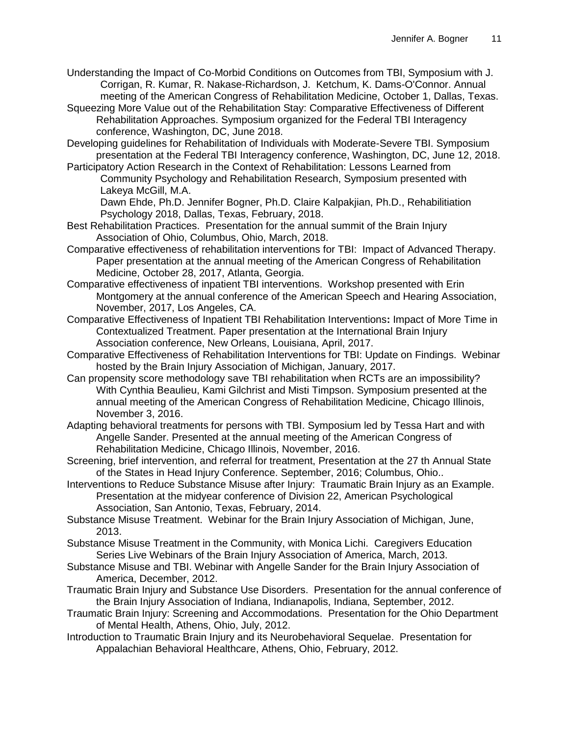- Understanding the Impact of Co-Morbid Conditions on Outcomes from TBI, Symposium with J. Corrigan, R. Kumar, R. Nakase-Richardson, J. Ketchum, K. Dams-O'Connor. Annual meeting of the American Congress of Rehabilitation Medicine, October 1, Dallas, Texas.
- Squeezing More Value out of the Rehabilitation Stay: Comparative Effectiveness of Different Rehabilitation Approaches. Symposium organized for the Federal TBI Interagency conference, Washington, DC, June 2018.
- Developing guidelines for Rehabilitation of Individuals with Moderate-Severe TBI. Symposium presentation at the Federal TBI Interagency conference, Washington, DC, June 12, 2018.
- Participatory Action Research in the Context of Rehabilitation: Lessons Learned from Community Psychology and Rehabilitation Research, Symposium presented with Lakeya McGill, M.A.
	- Dawn Ehde, Ph.D. Jennifer Bogner, Ph.D. Claire Kalpakjian, Ph.D., Rehabilitiation Psychology 2018, Dallas, Texas, February, 2018.
- Best Rehabilitation Practices. Presentation for the annual summit of the Brain Injury Association of Ohio, Columbus, Ohio, March, 2018.
- Comparative effectiveness of rehabilitation interventions for TBI: Impact of Advanced Therapy. Paper presentation at the annual meeting of the American Congress of Rehabilitation Medicine, October 28, 2017, Atlanta, Georgia.
- Comparative effectiveness of inpatient TBI interventions. Workshop presented with Erin Montgomery at the annual conference of the American Speech and Hearing Association, November, 2017, Los Angeles, CA.
- Comparative Effectiveness of Inpatient TBI Rehabilitation Interventions**:** Impact of More Time in Contextualized Treatment. Paper presentation at the International Brain Injury Association conference, New Orleans, Louisiana, April, 2017.
- Comparative Effectiveness of Rehabilitation Interventions for TBI: Update on Findings. Webinar hosted by the Brain Injury Association of Michigan, January, 2017.
- Can propensity score methodology save TBI rehabilitation when RCTs are an impossibility? With Cynthia Beaulieu, Kami Gilchrist and Misti Timpson. Symposium presented at the annual meeting of the American Congress of Rehabilitation Medicine, Chicago Illinois, November 3, 2016.
- Adapting behavioral treatments for persons with TBI. Symposium led by Tessa Hart and with Angelle Sander. Presented at the annual meeting of the American Congress of Rehabilitation Medicine, Chicago Illinois, November, 2016.
- Screening, brief intervention, and referral for treatment, Presentation at the 27 th Annual State of the States in Head Injury Conference. September, 2016; Columbus, Ohio..
- Interventions to Reduce Substance Misuse after Injury: Traumatic Brain Injury as an Example. Presentation at the midyear conference of Division 22, American Psychological Association, San Antonio, Texas, February, 2014.
- Substance Misuse Treatment. Webinar for the Brain Injury Association of Michigan, June, 2013.
- Substance Misuse Treatment in the Community, with Monica Lichi. Caregivers Education Series Live Webinars of the Brain Injury Association of America, March, 2013.
- Substance Misuse and TBI. Webinar with Angelle Sander for the Brain Injury Association of America, December, 2012.
- Traumatic Brain Injury and Substance Use Disorders. Presentation for the annual conference of the Brain Injury Association of Indiana, Indianapolis, Indiana, September, 2012.
- Traumatic Brain Injury: Screening and Accommodations. Presentation for the Ohio Department of Mental Health, Athens, Ohio, July, 2012.
- Introduction to Traumatic Brain Injury and its Neurobehavioral Sequelae. Presentation for Appalachian Behavioral Healthcare, Athens, Ohio, February, 2012.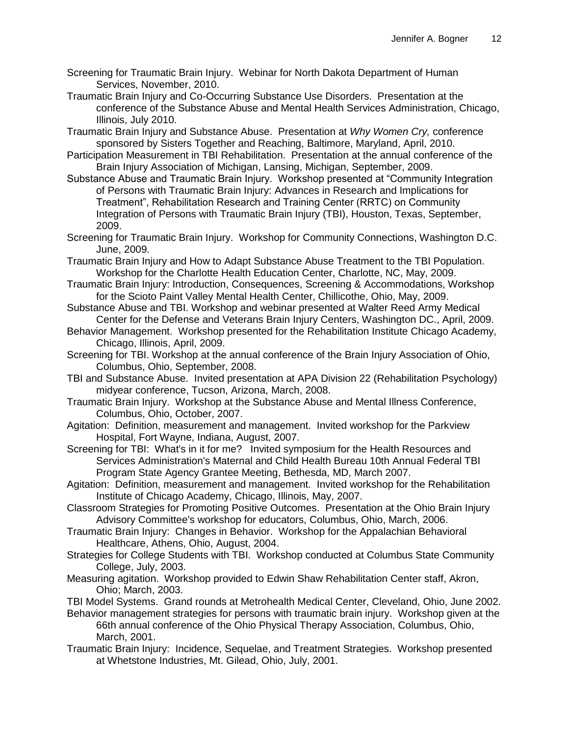- Screening for Traumatic Brain Injury. Webinar for North Dakota Department of Human Services, November, 2010.
- Traumatic Brain Injury and Co-Occurring Substance Use Disorders. Presentation at the conference of the Substance Abuse and Mental Health Services Administration, Chicago, Illinois, July 2010.
- Traumatic Brain Injury and Substance Abuse. Presentation at *Why Women Cry,* conference sponsored by Sisters Together and Reaching, Baltimore, Maryland, April, 2010.
- Participation Measurement in TBI Rehabilitation. Presentation at the annual conference of the Brain Injury Association of Michigan, Lansing, Michigan, September, 2009.
- Substance Abuse and Traumatic Brain Injury. Workshop presented at "Community Integration of Persons with Traumatic Brain Injury: Advances in Research and Implications for Treatment", Rehabilitation Research and Training Center (RRTC) on Community Integration of Persons with Traumatic Brain Injury (TBI), Houston, Texas, September, 2009.
- Screening for Traumatic Brain Injury. Workshop for Community Connections, Washington D.C. June, 2009.
- Traumatic Brain Injury and How to Adapt Substance Abuse Treatment to the TBI Population. Workshop for the Charlotte Health Education Center, Charlotte, NC, May, 2009.
- Traumatic Brain Injury: Introduction, Consequences, Screening & Accommodations, Workshop for the Scioto Paint Valley Mental Health Center, Chillicothe, Ohio, May, 2009.
- Substance Abuse and TBI. Workshop and webinar presented at Walter Reed Army Medical Center for the Defense and Veterans Brain Injury Centers, Washington DC., April, 2009.
- Behavior Management. Workshop presented for the Rehabilitation Institute Chicago Academy, Chicago, Illinois, April, 2009.
- Screening for TBI. Workshop at the annual conference of the Brain Injury Association of Ohio, Columbus, Ohio, September, 2008.
- TBI and Substance Abuse. Invited presentation at APA Division 22 (Rehabilitation Psychology) midyear conference, Tucson, Arizona, March, 2008.
- Traumatic Brain Injury. Workshop at the Substance Abuse and Mental Illness Conference, Columbus, Ohio, October, 2007.
- Agitation: Definition, measurement and management. Invited workshop for the Parkview Hospital, Fort Wayne, Indiana, August, 2007.
- Screening for TBI: What's in it for me? Invited symposium for the Health Resources and Services Administration's Maternal and Child Health Bureau 10th Annual Federal TBI Program State Agency Grantee Meeting, Bethesda, MD, March 2007.
- Agitation: Definition, measurement and management. Invited workshop for the Rehabilitation Institute of Chicago Academy, Chicago, Illinois, May, 2007.
- Classroom Strategies for Promoting Positive Outcomes. Presentation at the Ohio Brain Injury Advisory Committee's workshop for educators, Columbus, Ohio, March, 2006.
- Traumatic Brain Injury: Changes in Behavior. Workshop for the Appalachian Behavioral Healthcare, Athens, Ohio, August, 2004.
- Strategies for College Students with TBI. Workshop conducted at Columbus State Community College, July, 2003.
- Measuring agitation. Workshop provided to Edwin Shaw Rehabilitation Center staff, Akron, Ohio; March, 2003.

TBI Model Systems. Grand rounds at Metrohealth Medical Center, Cleveland, Ohio, June 2002.

- Behavior management strategies for persons with traumatic brain injury. Workshop given at the 66th annual conference of the Ohio Physical Therapy Association, Columbus, Ohio, March, 2001.
- Traumatic Brain Injury: Incidence, Sequelae, and Treatment Strategies. Workshop presented at Whetstone Industries, Mt. Gilead, Ohio, July, 2001.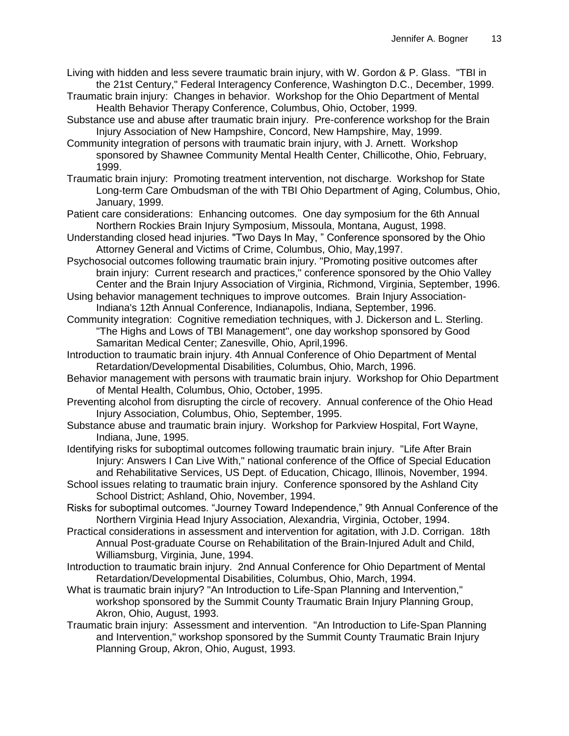- Living with hidden and less severe traumatic brain injury, with W. Gordon & P. Glass. "TBI in the 21st Century," Federal Interagency Conference, Washington D.C., December, 1999.
- Traumatic brain injury: Changes in behavior. Workshop for the Ohio Department of Mental Health Behavior Therapy Conference, Columbus, Ohio, October, 1999.
- Substance use and abuse after traumatic brain injury. Pre-conference workshop for the Brain Injury Association of New Hampshire, Concord, New Hampshire, May, 1999.
- Community integration of persons with traumatic brain injury, with J. Arnett. Workshop sponsored by Shawnee Community Mental Health Center, Chillicothe, Ohio, February, 1999.
- Traumatic brain injury: Promoting treatment intervention, not discharge. Workshop for State Long-term Care Ombudsman of the with TBI Ohio Department of Aging, Columbus, Ohio, January, 1999.
- Patient care considerations: Enhancing outcomes. One day symposium for the 6th Annual Northern Rockies Brain Injury Symposium, Missoula, Montana, August, 1998.
- Understanding closed head injuries. "Two Days In May, " Conference sponsored by the Ohio Attorney General and Victims of Crime, Columbus, Ohio, May,1997.
- Psychosocial outcomes following traumatic brain injury. "Promoting positive outcomes after brain injury: Current research and practices," conference sponsored by the Ohio Valley Center and the Brain Injury Association of Virginia, Richmond, Virginia, September, 1996.
- Using behavior management techniques to improve outcomes. Brain Injury Association-Indiana's 12th Annual Conference, Indianapolis, Indiana, September, 1996.
- Community integration: Cognitive remediation techniques, with J. Dickerson and L. Sterling. "The Highs and Lows of TBI Management", one day workshop sponsored by Good Samaritan Medical Center; Zanesville, Ohio, April,1996.
- Introduction to traumatic brain injury. 4th Annual Conference of Ohio Department of Mental Retardation/Developmental Disabilities, Columbus, Ohio, March, 1996.
- Behavior management with persons with traumatic brain injury. Workshop for Ohio Department of Mental Health, Columbus, Ohio, October, 1995.
- Preventing alcohol from disrupting the circle of recovery. Annual conference of the Ohio Head Injury Association, Columbus, Ohio, September, 1995.
- Substance abuse and traumatic brain injury. Workshop for Parkview Hospital, Fort Wayne, Indiana, June, 1995.
- Identifying risks for suboptimal outcomes following traumatic brain injury. "Life After Brain Injury: Answers I Can Live With," national conference of the Office of Special Education and Rehabilitative Services, US Dept. of Education, Chicago, Illinois, November, 1994.
- School issues relating to traumatic brain injury. Conference sponsored by the Ashland City School District; Ashland, Ohio, November, 1994.
- Risks for suboptimal outcomes. "Journey Toward Independence," 9th Annual Conference of the Northern Virginia Head Injury Association, Alexandria, Virginia, October, 1994.
- Practical considerations in assessment and intervention for agitation, with J.D. Corrigan. 18th Annual Post-graduate Course on Rehabilitation of the Brain-Injured Adult and Child, Williamsburg, Virginia, June, 1994.
- Introduction to traumatic brain injury. 2nd Annual Conference for Ohio Department of Mental Retardation/Developmental Disabilities, Columbus, Ohio, March, 1994.
- What is traumatic brain injury? "An Introduction to Life-Span Planning and Intervention," workshop sponsored by the Summit County Traumatic Brain Injury Planning Group, Akron, Ohio, August, 1993.
- Traumatic brain injury: Assessment and intervention. "An Introduction to Life-Span Planning and Intervention," workshop sponsored by the Summit County Traumatic Brain Injury Planning Group, Akron, Ohio, August, 1993.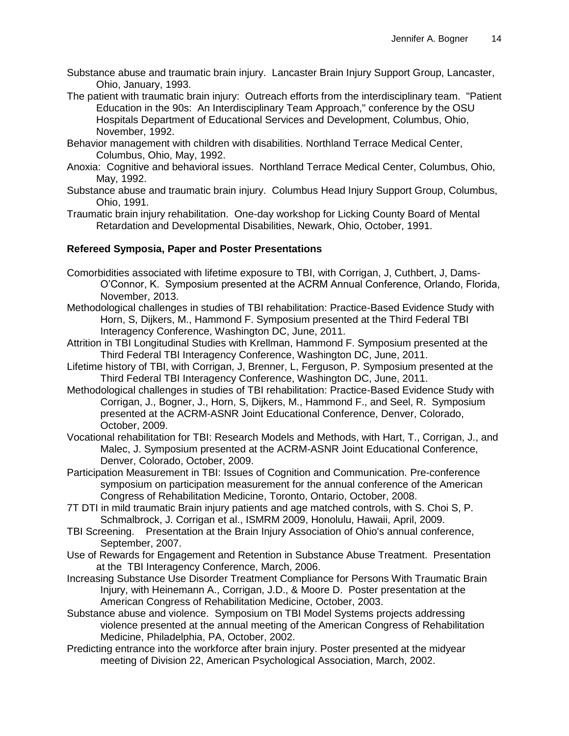- Substance abuse and traumatic brain injury. Lancaster Brain Injury Support Group, Lancaster, Ohio, January, 1993.
- The patient with traumatic brain injury: Outreach efforts from the interdisciplinary team. "Patient Education in the 90s: An Interdisciplinary Team Approach," conference by the OSU Hospitals Department of Educational Services and Development, Columbus, Ohio, November, 1992.
- Behavior management with children with disabilities. Northland Terrace Medical Center, Columbus, Ohio, May, 1992.
- Anoxia: Cognitive and behavioral issues. Northland Terrace Medical Center, Columbus, Ohio, May, 1992.
- Substance abuse and traumatic brain injury. Columbus Head Injury Support Group, Columbus, Ohio, 1991.
- Traumatic brain injury rehabilitation. One-day workshop for Licking County Board of Mental Retardation and Developmental Disabilities, Newark, Ohio, October, 1991.

## **Refereed Symposia, Paper and Poster Presentations**

- Comorbidities associated with lifetime exposure to TBI, with Corrigan, J, Cuthbert, J, Dams-O'Connor, K. Symposium presented at the ACRM Annual Conference, Orlando, Florida, November, 2013.
- Methodological challenges in studies of TBI rehabilitation: Practice-Based Evidence Study with Horn, S, Dijkers, M., Hammond F. Symposium presented at the Third Federal TBI Interagency Conference, Washington DC, June, 2011.
- Attrition in TBI Longitudinal Studies with Krellman, Hammond F. Symposium presented at the Third Federal TBI Interagency Conference, Washington DC, June, 2011.
- Lifetime history of TBI, with Corrigan, J, Brenner, L, Ferguson, P. Symposium presented at the Third Federal TBI Interagency Conference, Washington DC, June, 2011.
- Methodological challenges in studies of TBI rehabilitation: Practice-Based Evidence Study with Corrigan, J., Bogner, J., Horn, S, Dijkers, M., Hammond F., and Seel, R. Symposium presented at the ACRM-ASNR Joint Educational Conference, Denver, Colorado, October, 2009.
- Vocational rehabilitation for TBI: Research Models and Methods, with Hart, T., Corrigan, J., and Malec, J. Symposium presented at the ACRM-ASNR Joint Educational Conference, Denver, Colorado, October, 2009.
- Participation Measurement in TBI: Issues of Cognition and Communication. Pre-conference symposium on participation measurement for the annual conference of the American Congress of Rehabilitation Medicine, Toronto, Ontario, October, 2008.
- 7T DTI in mild traumatic Brain injury patients and age matched controls, with S. Choi S, P. Schmalbrock, J. Corrigan et al., ISMRM 2009, Honolulu, Hawaii, April, 2009.
- TBI Screening. Presentation at the Brain Injury Association of Ohio's annual conference, September, 2007.
- Use of Rewards for Engagement and Retention in Substance Abuse Treatment. Presentation at the TBI Interagency Conference, March, 2006.
- Increasing Substance Use Disorder Treatment Compliance for Persons With Traumatic Brain Injury, with Heinemann A., Corrigan, J.D., & Moore D. Poster presentation at the American Congress of Rehabilitation Medicine, October, 2003.
- Substance abuse and violence. Symposium on TBI Model Systems projects addressing violence presented at the annual meeting of the American Congress of Rehabilitation Medicine, Philadelphia, PA, October, 2002.
- Predicting entrance into the workforce after brain injury. Poster presented at the midyear meeting of Division 22, American Psychological Association, March, 2002.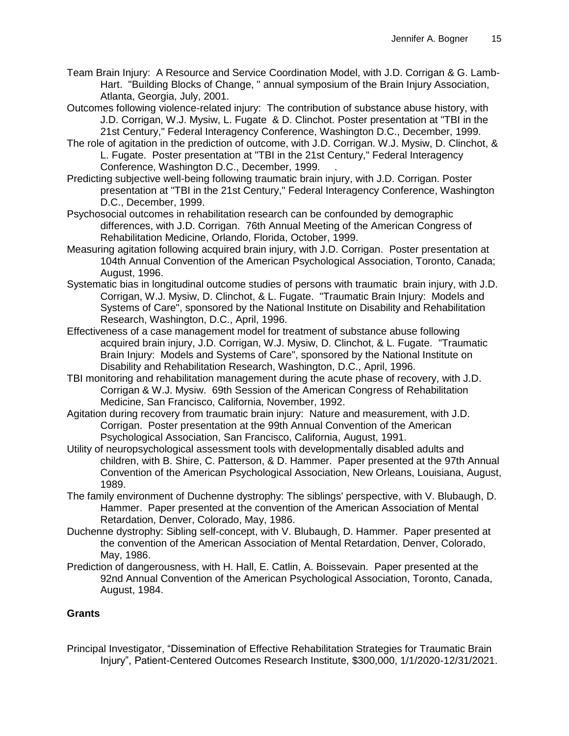Team Brain Injury: A Resource and Service Coordination Model, with J.D. Corrigan & G. Lamb-Hart. "Building Blocks of Change, " annual symposium of the Brain Injury Association, Atlanta, Georgia, July, 2001.

Outcomes following violence-related injury: The contribution of substance abuse history, with J.D. Corrigan, W.J. Mysiw, L. Fugate & D. Clinchot. Poster presentation at "TBI in the 21st Century," Federal Interagency Conference, Washington D.C., December, 1999.

- The role of agitation in the prediction of outcome, with J.D. Corrigan. W.J. Mysiw, D. Clinchot, & L. Fugate. Poster presentation at "TBI in the 21st Century," Federal Interagency Conference, Washington D.C., December, 1999. .
- Predicting subjective well-being following traumatic brain injury, with J.D. Corrigan. Poster presentation at "TBI in the 21st Century," Federal Interagency Conference, Washington D.C., December, 1999.
- Psychosocial outcomes in rehabilitation research can be confounded by demographic differences, with J.D. Corrigan. 76th Annual Meeting of the American Congress of Rehabilitation Medicine, Orlando, Florida, October, 1999.
- Measuring agitation following acquired brain injury, with J.D. Corrigan. Poster presentation at 104th Annual Convention of the American Psychological Association, Toronto, Canada; August, 1996.
- Systematic bias in longitudinal outcome studies of persons with traumatic brain injury, with J.D. Corrigan, W.J. Mysiw, D. Clinchot, & L. Fugate. "Traumatic Brain Injury: Models and Systems of Care", sponsored by the National Institute on Disability and Rehabilitation Research, Washington, D.C., April, 1996.
- Effectiveness of a case management model for treatment of substance abuse following acquired brain injury, J.D. Corrigan, W.J. Mysiw, D. Clinchot, & L. Fugate. "Traumatic Brain Injury: Models and Systems of Care", sponsored by the National Institute on Disability and Rehabilitation Research, Washington, D.C., April, 1996.
- TBI monitoring and rehabilitation management during the acute phase of recovery, with J.D. Corrigan & W.J. Mysiw. 69th Session of the American Congress of Rehabilitation Medicine, San Francisco, California, November, 1992.
- Agitation during recovery from traumatic brain injury: Nature and measurement, with J.D. Corrigan. Poster presentation at the 99th Annual Convention of the American Psychological Association, San Francisco, California, August, 1991.
- Utility of neuropsychological assessment tools with developmentally disabled adults and children, with B. Shire, C. Patterson, & D. Hammer. Paper presented at the 97th Annual Convention of the American Psychological Association, New Orleans, Louisiana, August, 1989.
- The family environment of Duchenne dystrophy: The siblings' perspective, with V. Blubaugh, D. Hammer. Paper presented at the convention of the American Association of Mental Retardation, Denver, Colorado, May, 1986.
- Duchenne dystrophy: Sibling self-concept, with V. Blubaugh, D. Hammer. Paper presented at the convention of the American Association of Mental Retardation, Denver, Colorado, May, 1986.
- Prediction of dangerousness, with H. Hall, E. Catlin, A. Boissevain. Paper presented at the 92nd Annual Convention of the American Psychological Association, Toronto, Canada, August, 1984.

## **Grants**

Principal Investigator, "Dissemination of Effective Rehabilitation Strategies for Traumatic Brain Injury", Patient-Centered Outcomes Research Institute, \$300,000, 1/1/2020-12/31/2021.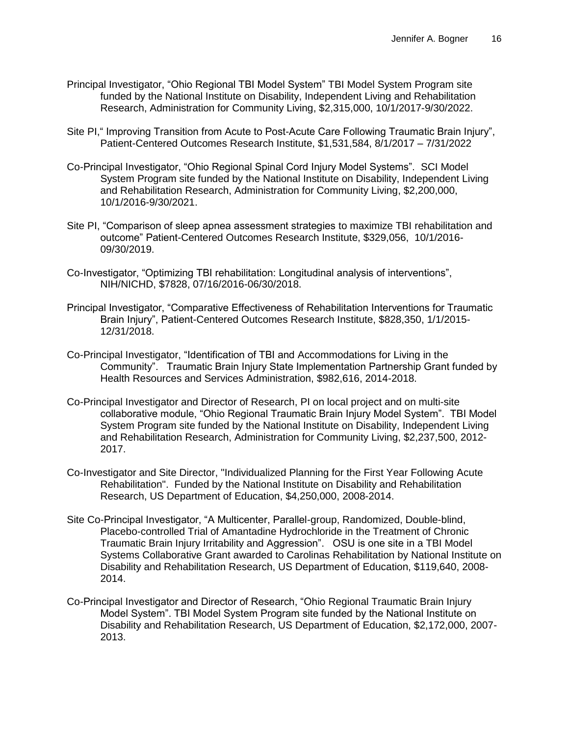- Principal Investigator, "Ohio Regional TBI Model System" TBI Model System Program site funded by the National Institute on Disability, Independent Living and Rehabilitation Research, Administration for Community Living, \$2,315,000, 10/1/2017-9/30/2022.
- Site PI," Improving Transition from Acute to Post-Acute Care Following Traumatic Brain Injury", Patient-Centered Outcomes Research Institute, \$1,531,584, 8/1/2017 – 7/31/2022
- Co-Principal Investigator, "Ohio Regional Spinal Cord Injury Model Systems". SCI Model System Program site funded by the National Institute on Disability, Independent Living and Rehabilitation Research, Administration for Community Living, \$2,200,000, 10/1/2016-9/30/2021.
- Site PI, "Comparison of sleep apnea assessment strategies to maximize TBI rehabilitation and outcome" Patient-Centered Outcomes Research Institute, \$329,056, 10/1/2016- 09/30/2019.
- Co-Investigator, "Optimizing TBI rehabilitation: Longitudinal analysis of interventions", NIH/NICHD, \$7828, 07/16/2016-06/30/2018.
- Principal Investigator, "Comparative Effectiveness of Rehabilitation Interventions for Traumatic Brain Injury", Patient-Centered Outcomes Research Institute, \$828,350, 1/1/2015- 12/31/2018.
- Co-Principal Investigator, "Identification of TBI and Accommodations for Living in the Community". Traumatic Brain Injury State Implementation Partnership Grant funded by Health Resources and Services Administration, \$982,616, 2014-2018.
- Co-Principal Investigator and Director of Research, PI on local project and on multi-site collaborative module, "Ohio Regional Traumatic Brain Injury Model System". TBI Model System Program site funded by the National Institute on Disability, Independent Living and Rehabilitation Research, Administration for Community Living, \$2,237,500, 2012- 2017.
- Co-Investigator and Site Director, "Individualized Planning for the First Year Following Acute Rehabilitation". Funded by the National Institute on Disability and Rehabilitation Research, US Department of Education, \$4,250,000, 2008-2014.
- Site Co-Principal Investigator, "A Multicenter, Parallel-group, Randomized, Double-blind, Placebo-controlled Trial of Amantadine Hydrochloride in the Treatment of Chronic Traumatic Brain Injury Irritability and Aggression". OSU is one site in a TBI Model Systems Collaborative Grant awarded to Carolinas Rehabilitation by National Institute on Disability and Rehabilitation Research, US Department of Education, \$119,640, 2008- 2014.
- Co-Principal Investigator and Director of Research, "Ohio Regional Traumatic Brain Injury Model System". TBI Model System Program site funded by the National Institute on Disability and Rehabilitation Research, US Department of Education, \$2,172,000, 2007- 2013.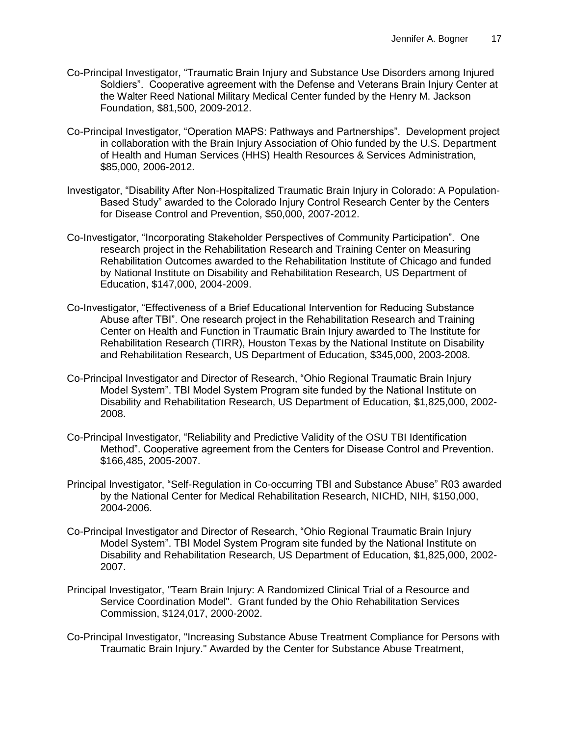- Co-Principal Investigator, "Traumatic Brain Injury and Substance Use Disorders among Injured Soldiers". Cooperative agreement with the Defense and Veterans Brain Injury Center at the Walter Reed National Military Medical Center funded by the Henry M. Jackson Foundation, \$81,500, 2009-2012.
- Co-Principal Investigator, "Operation MAPS: Pathways and Partnerships". Development project in collaboration with the Brain Injury Association of Ohio funded by the U.S. Department of Health and Human Services (HHS) Health Resources & Services Administration, \$85,000, 2006-2012.
- Investigator, "Disability After Non-Hospitalized Traumatic Brain Injury in Colorado: A Population-Based Study" awarded to the Colorado Injury Control Research Center by the Centers for Disease Control and Prevention, \$50,000, 2007-2012.
- Co-Investigator, "Incorporating Stakeholder Perspectives of Community Participation". One research project in the Rehabilitation Research and Training Center on Measuring Rehabilitation Outcomes awarded to the Rehabilitation Institute of Chicago and funded by National Institute on Disability and Rehabilitation Research, US Department of Education, \$147,000, 2004-2009.
- Co-Investigator, "Effectiveness of a Brief Educational Intervention for Reducing Substance Abuse after TBI". One research project in the Rehabilitation Research and Training Center on Health and Function in Traumatic Brain Injury awarded to The Institute for Rehabilitation Research (TIRR), Houston Texas by the National Institute on Disability and Rehabilitation Research, US Department of Education, \$345,000, 2003-2008.
- Co-Principal Investigator and Director of Research, "Ohio Regional Traumatic Brain Injury Model System". TBI Model System Program site funded by the National Institute on Disability and Rehabilitation Research, US Department of Education, \$1,825,000, 2002- 2008.
- Co-Principal Investigator, "Reliability and Predictive Validity of the OSU TBI Identification Method". Cooperative agreement from the Centers for Disease Control and Prevention. \$166,485, 2005-2007.
- Principal Investigator, "Self-Regulation in Co-occurring TBI and Substance Abuse" R03 awarded by the National Center for Medical Rehabilitation Research, NICHD, NIH, \$150,000, 2004-2006.
- Co-Principal Investigator and Director of Research, "Ohio Regional Traumatic Brain Injury Model System". TBI Model System Program site funded by the National Institute on Disability and Rehabilitation Research, US Department of Education, \$1,825,000, 2002- 2007.
- Principal Investigator, "Team Brain Injury: A Randomized Clinical Trial of a Resource and Service Coordination Model". Grant funded by the Ohio Rehabilitation Services Commission, \$124,017, 2000-2002.
- Co-Principal Investigator, "Increasing Substance Abuse Treatment Compliance for Persons with Traumatic Brain Injury." Awarded by the Center for Substance Abuse Treatment,